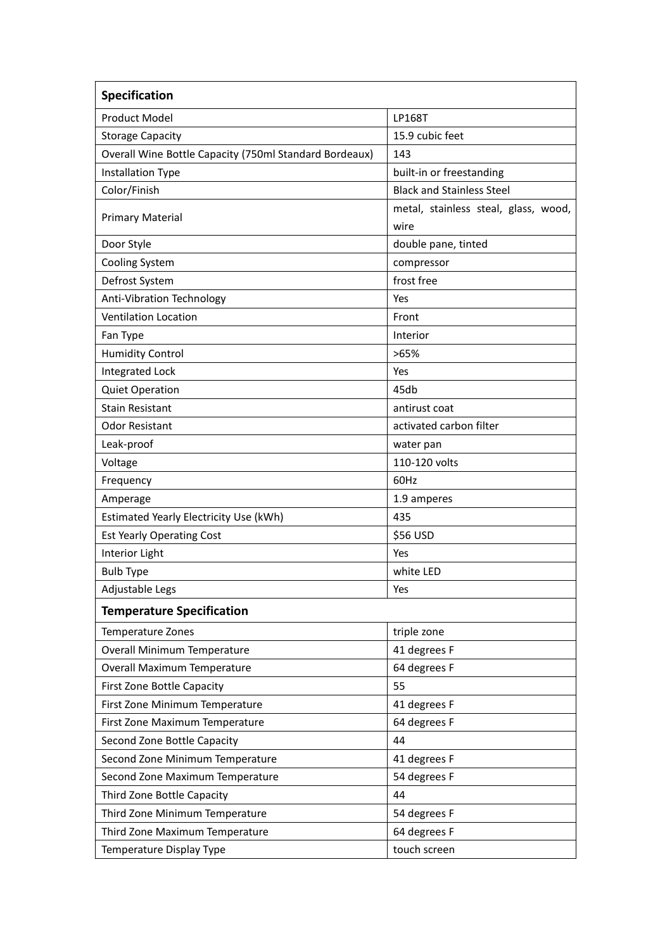| Specification                                          |                                      |
|--------------------------------------------------------|--------------------------------------|
| <b>Product Model</b>                                   | <b>LP168T</b>                        |
| <b>Storage Capacity</b>                                | 15.9 cubic feet                      |
| Overall Wine Bottle Capacity (750ml Standard Bordeaux) | 143                                  |
| Installation Type                                      | built-in or freestanding             |
| Color/Finish                                           | <b>Black and Stainless Steel</b>     |
| <b>Primary Material</b>                                | metal, stainless steal, glass, wood, |
|                                                        | wire                                 |
| Door Style                                             | double pane, tinted                  |
| Cooling System                                         | compressor                           |
| Defrost System                                         | frost free                           |
| Anti-Vibration Technology                              | Yes                                  |
| <b>Ventilation Location</b>                            | Front                                |
| Fan Type                                               | Interior                             |
| <b>Humidity Control</b>                                | >65%                                 |
| <b>Integrated Lock</b>                                 | Yes                                  |
| <b>Quiet Operation</b>                                 | 45db                                 |
| <b>Stain Resistant</b>                                 | antirust coat                        |
| <b>Odor Resistant</b>                                  | activated carbon filter              |
| Leak-proof                                             | water pan                            |
| Voltage                                                | 110-120 volts                        |
| Frequency                                              | 60Hz                                 |
| Amperage                                               | 1.9 amperes                          |
| Estimated Yearly Electricity Use (kWh)                 | 435                                  |
| <b>Est Yearly Operating Cost</b>                       | \$56 USD                             |
| Interior Light                                         | Yes                                  |
| <b>Bulb Type</b>                                       | white LED                            |
| Adjustable Legs                                        | Yes                                  |
| <b>Temperature Specification</b>                       |                                      |
| Temperature Zones                                      | triple zone                          |
| Overall Minimum Temperature                            | 41 degrees F                         |
| Overall Maximum Temperature                            | 64 degrees F                         |
| <b>First Zone Bottle Capacity</b>                      | 55                                   |
| First Zone Minimum Temperature                         | 41 degrees F                         |
| First Zone Maximum Temperature                         | 64 degrees F                         |
| Second Zone Bottle Capacity                            | 44                                   |
| Second Zone Minimum Temperature                        | 41 degrees F                         |
| Second Zone Maximum Temperature                        | 54 degrees F                         |
| Third Zone Bottle Capacity                             | 44                                   |
| Third Zone Minimum Temperature                         | 54 degrees F                         |
| Third Zone Maximum Temperature                         | 64 degrees F                         |
| Temperature Display Type                               | touch screen                         |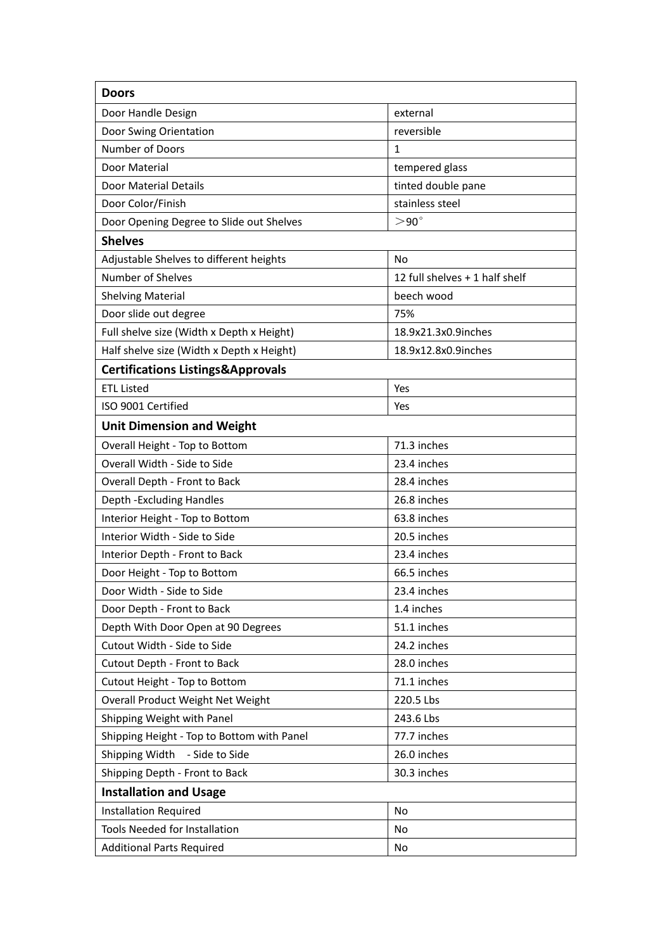| <b>Doors</b>                                 |                                |  |
|----------------------------------------------|--------------------------------|--|
| Door Handle Design                           | external                       |  |
| Door Swing Orientation                       | reversible                     |  |
| Number of Doors                              | $\mathbf{1}$                   |  |
| Door Material                                | tempered glass                 |  |
| Door Material Details                        | tinted double pane             |  |
| Door Color/Finish                            | stainless steel                |  |
| Door Opening Degree to Slide out Shelves     | $>90^\circ$                    |  |
| <b>Shelves</b>                               |                                |  |
| Adjustable Shelves to different heights      | No                             |  |
| <b>Number of Shelves</b>                     | 12 full shelves + 1 half shelf |  |
| <b>Shelving Material</b>                     | beech wood                     |  |
| Door slide out degree                        | 75%                            |  |
| Full shelve size (Width x Depth x Height)    | 18.9x21.3x0.9inches            |  |
| Half shelve size (Width x Depth x Height)    | 18.9x12.8x0.9inches            |  |
| <b>Certifications Listings&amp;Approvals</b> |                                |  |
| <b>ETL Listed</b>                            | Yes                            |  |
| ISO 9001 Certified                           | Yes                            |  |
| <b>Unit Dimension and Weight</b>             |                                |  |
| Overall Height - Top to Bottom               | 71.3 inches                    |  |
| Overall Width - Side to Side                 | 23.4 inches                    |  |
| Overall Depth - Front to Back                | 28.4 inches                    |  |
| Depth - Excluding Handles                    | 26.8 inches                    |  |
| Interior Height - Top to Bottom              | 63.8 inches                    |  |
| Interior Width - Side to Side                | 20.5 inches                    |  |
| Interior Depth - Front to Back               | 23.4 inches                    |  |
| Door Height - Top to Bottom                  | 66.5 inches                    |  |
| Door Width - Side to Side                    | 23.4 inches                    |  |
| Door Depth - Front to Back                   | 1.4 inches                     |  |
| Depth With Door Open at 90 Degrees           | 51.1 inches                    |  |
| Cutout Width - Side to Side                  | 24.2 inches                    |  |
| Cutout Depth - Front to Back                 | 28.0 inches                    |  |
| Cutout Height - Top to Bottom                | 71.1 inches                    |  |
| Overall Product Weight Net Weight            | 220.5 Lbs                      |  |
| Shipping Weight with Panel                   | 243.6 Lbs                      |  |
| Shipping Height - Top to Bottom with Panel   | 77.7 inches                    |  |
| Shipping Width<br>- Side to Side             | 26.0 inches                    |  |
| Shipping Depth - Front to Back               | 30.3 inches                    |  |
| <b>Installation and Usage</b>                |                                |  |
| <b>Installation Required</b>                 | <b>No</b>                      |  |
| Tools Needed for Installation                | No                             |  |
| <b>Additional Parts Required</b>             | No                             |  |